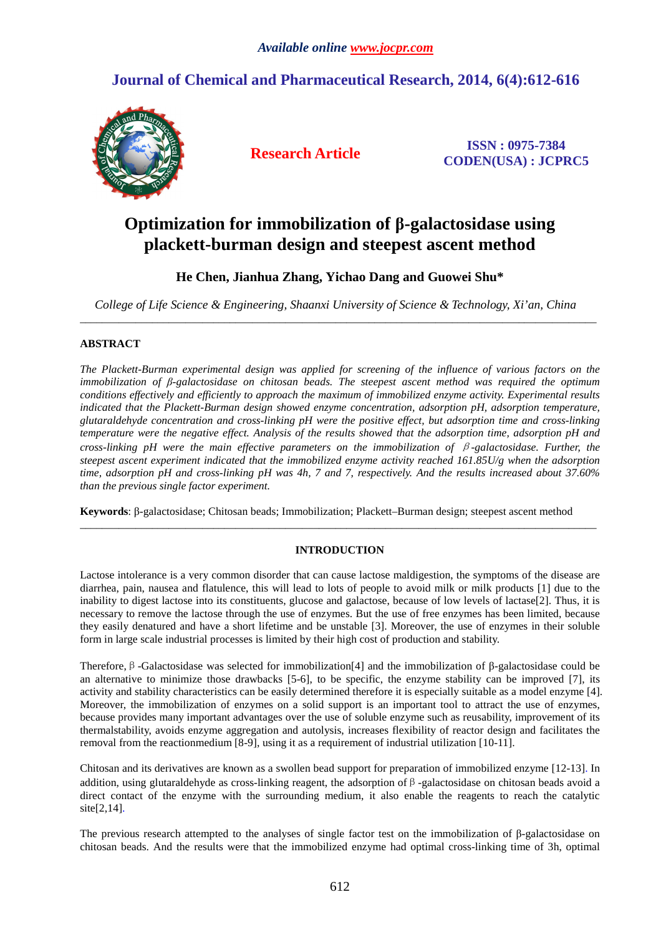## **Journal of Chemical and Pharmaceutical Research, 2014, 6(4):612-616**



**Research Article ISSN : 0975-7384 CODEN(USA) : JCPRC5**

# **Optimization for immobilization of β-galactosidase using plackett-burman design and steepest ascent method**

## **He Chen, Jianhua Zhang, Yichao Dang and Guowei Shu\***

*College of Life Science & Engineering, Shaanxi University of Science & Technology, Xi'an, China*  \_\_\_\_\_\_\_\_\_\_\_\_\_\_\_\_\_\_\_\_\_\_\_\_\_\_\_\_\_\_\_\_\_\_\_\_\_\_\_\_\_\_\_\_\_\_\_\_\_\_\_\_\_\_\_\_\_\_\_\_\_\_\_\_\_\_\_\_\_\_\_\_\_\_\_\_\_\_\_\_\_\_\_\_\_\_\_\_\_\_\_\_\_

## **ABSTRACT**

*The Plackett-Burman experimental design was applied for screening of the influence of various factors on the immobilization of β-galactosidase on chitosan beads. The steepest ascent method was required the optimum conditions effectively and efficiently to approach the maximum of immobilized enzyme activity. Experimental results indicated that the Plackett-Burman design showed enzyme concentration, adsorption pH, adsorption temperature, glutaraldehyde concentration and cross-linking pH were the positive effect, but adsorption time and cross-linking temperature were the negative effect. Analysis of the results showed that the adsorption time, adsorption pH and cross-linking pH were the main effective parameters on the immobilization of* β*-galactosidase. Further, the steepest ascent experiment indicated that the immobilized enzyme activity reached 161.85U/g when the adsorption time, adsorption pH and cross-linking pH was 4h, 7 and 7, respectively. And the results increased about 37.60% than the previous single factor experiment.* 

**Keywords**: β-galactosidase; Chitosan beads; Immobilization; Plackett–Burman design; steepest ascent method

## **INTRODUCTION**

\_\_\_\_\_\_\_\_\_\_\_\_\_\_\_\_\_\_\_\_\_\_\_\_\_\_\_\_\_\_\_\_\_\_\_\_\_\_\_\_\_\_\_\_\_\_\_\_\_\_\_\_\_\_\_\_\_\_\_\_\_\_\_\_\_\_\_\_\_\_\_\_\_\_\_\_\_\_\_\_\_\_\_\_\_\_\_\_\_\_\_\_\_

Lactose intolerance is a very common disorder that can cause lactose maldigestion, the symptoms of the disease are diarrhea, pain, nausea and flatulence, this will lead to lots of people to avoid milk or milk products [1] due to the inability to digest lactose into its constituents, glucose and galactose, because of low levels of lactase[2]. Thus, it is necessary to remove the lactose through the use of enzymes. But the use of free enzymes has been limited, because they easily denatured and have a short lifetime and be unstable [3]. Moreover, the use of enzymes in their soluble form in large scale industrial processes is limited by their high cost of production and stability.

Therefore,β-Galactosidase was selected for immobilization[4] and the immobilization of β-galactosidase could be an alternative to minimize those drawbacks [5-6], to be specific, the enzyme stability can be improved [7], its activity and stability characteristics can be easily determined therefore it is especially suitable as a model enzyme [4]. Moreover, the immobilization of enzymes on a solid support is an important tool to attract the use of enzymes, because provides many important advantages over the use of soluble enzyme such as reusability, improvement of its thermalstability, avoids enzyme aggregation and autolysis, increases flexibility of reactor design and facilitates the removal from the reactionmedium [8-9], using it as a requirement of industrial utilization [10-11].

Chitosan and its derivatives are known as a swollen bead support for preparation of immobilized enzyme [12-13]. In addition, using glutaraldehyde as cross-linking reagent, the adsorption of  $\beta$ -galactosidase on chitosan beads avoid a direct contact of the enzyme with the surrounding medium, it also enable the reagents to reach the catalytic site[2,14].

The previous research attempted to the analyses of single factor test on the immobilization of β-galactosidase on chitosan beads. And the results were that the immobilized enzyme had optimal cross-linking time of 3h, optimal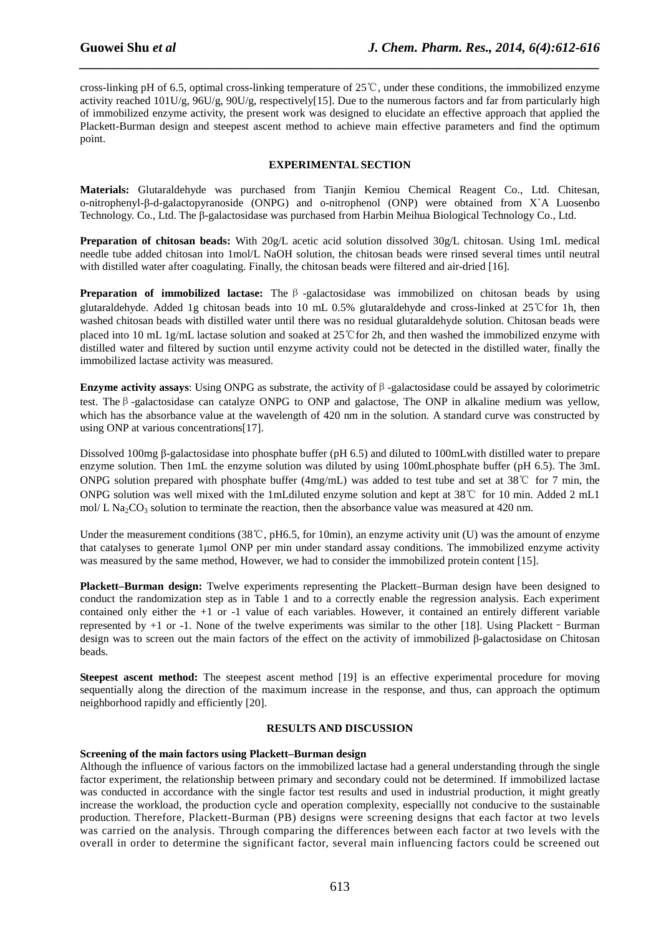cross-linking pH of 6.5, optimal cross-linking temperature of 25℃, under these conditions, the immobilized enzyme activity reached 101U/g, 96U/g, 90U/g, respectively[15]. Due to the numerous factors and far from particularly high of immobilized enzyme activity, the present work was designed to elucidate an effective approach that applied the Plackett-Burman design and steepest ascent method to achieve main effective parameters and find the optimum point.

*\_\_\_\_\_\_\_\_\_\_\_\_\_\_\_\_\_\_\_\_\_\_\_\_\_\_\_\_\_\_\_\_\_\_\_\_\_\_\_\_\_\_\_\_\_\_\_\_\_\_\_\_\_\_\_\_\_\_\_\_\_\_\_\_\_\_\_\_\_\_\_\_\_\_\_\_\_\_*

### **EXPERIMENTAL SECTION**

**Materials:** Glutaraldehyde was purchased from Tianjin Kemiou Chemical Reagent Co., Ltd. Chitesan, o-nitrophenyl-β-d-galactopyranoside (ONPG) and o-nitrophenol (ONP) were obtained from X`A Luosenbo Technology. Co., Ltd. The β-galactosidase was purchased from Harbin Meihua Biological Technology Co., Ltd.

**Preparation of chitosan beads:** With 20g/L acetic acid solution dissolved 30g/L chitosan. Using 1mL medical needle tube added chitosan into 1mol/L NaOH solution, the chitosan beads were rinsed several times until neutral with distilled water after coagulating. Finally, the chitosan beads were filtered and air-dried [16].

**Preparation of immobilized lactase:** The β -galactosidase was immobilized on chitosan beads by using glutaraldehyde. Added 1g chitosan beads into 10 mL 0.5% glutaraldehyde and cross-linked at 25℃for 1h, then washed chitosan beads with distilled water until there was no residual glutaraldehyde solution. Chitosan beads were placed into 10 mL 1g/mL lactase solution and soaked at 25℃for 2h, and then washed the immobilized enzyme with distilled water and filtered by suction until enzyme activity could not be detected in the distilled water, finally the immobilized lactase activity was measured.

**Enzyme activity assays:** Using ONPG as substrate, the activity of  $\beta$ -galactosidase could be assayed by colorimetric test. Theβ-galactosidase can catalyze ONPG to ONP and galactose, The ONP in alkaline medium was yellow, which has the absorbance value at the wavelength of 420 nm in the solution. A standard curve was constructed by using ONP at various concentrations[17].

Dissolved 100mg β-galactosidase into phosphate buffer (pH 6.5) and diluted to 100mLwith distilled water to prepare enzyme solution. Then 1mL the enzyme solution was diluted by using 100mLphosphate buffer (pH 6.5). The 3mL ONPG solution prepared with phosphate buffer (4mg/mL) was added to test tube and set at 38℃ for 7 min, the ONPG solution was well mixed with the 1mLdiluted enzyme solution and kept at 38℃ for 10 min. Added 2 mL1 mol/ L Na<sub>2</sub>CO<sub>3</sub> solution to terminate the reaction, then the absorbance value was measured at 420 nm.

Under the measurement conditions (38℃, pH6.5, for 10min), an enzyme activity unit (U) was the amount of enzyme that catalyses to generate 1µmol ONP per min under standard assay conditions. The immobilized enzyme activity was measured by the same method, However, we had to consider the immobilized protein content [15].

**Plackett–Burman design:** Twelve experiments representing the Plackett–Burman design have been designed to conduct the randomization step as in Table 1 and to a correctly enable the regression analysis. Each experiment contained only either the +1 or -1 value of each variables. However, it contained an entirely different variable represented by +1 or -1. None of the twelve experiments was similar to the other [18]. Using Plackett–Burman design was to screen out the main factors of the effect on the activity of immobilized β-galactosidase on Chitosan beads.

**Steepest ascent method:** The steepest ascent method [19] is an effective experimental procedure for moving sequentially along the direction of the maximum increase in the response, and thus, can approach the optimum neighborhood rapidly and efficiently [20].

### **RESULTS AND DISCUSSION**

### **Screening of the main factors using Plackett–Burman design**

Although the influence of various factors on the immobilized lactase had a general understanding through the single factor experiment, the relationship between primary and secondary could not be determined. If immobilized lactase was conducted in accordance with the single factor test results and used in industrial production, it might greatly increase the workload, the production cycle and operation complexity, especiallly not conducive to the sustainable production. Therefore, Plackett-Burman (PB) designs were screening designs that each factor at two levels was carried on the analysis. Through comparing the differences between each factor at two levels with the overall in order to determine the significant factor, several main influencing factors could be screened out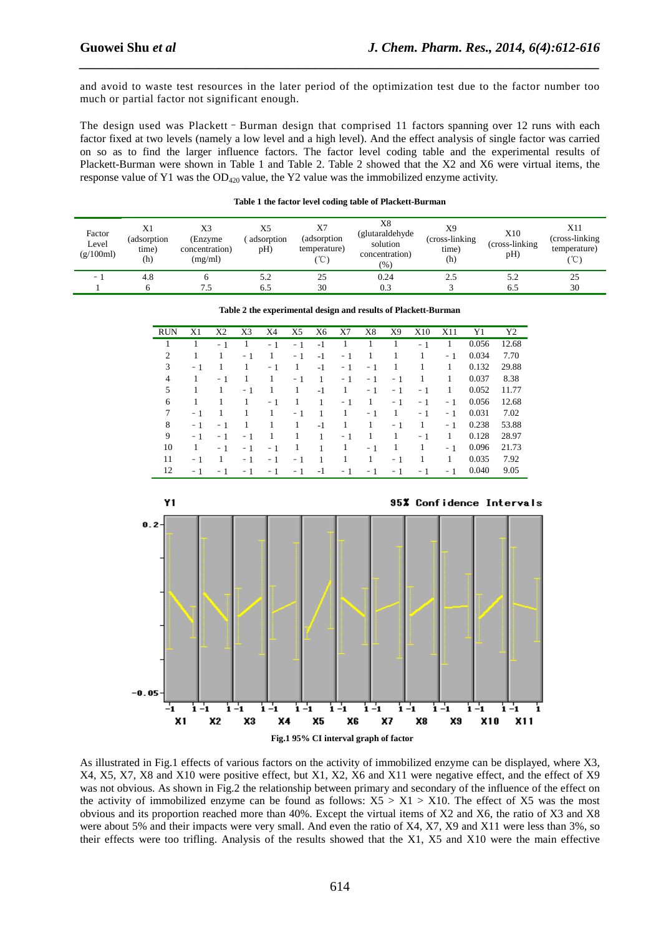and avoid to waste test resources in the later period of the optimization test due to the factor number too much or partial factor not significant enough.

*\_\_\_\_\_\_\_\_\_\_\_\_\_\_\_\_\_\_\_\_\_\_\_\_\_\_\_\_\_\_\_\_\_\_\_\_\_\_\_\_\_\_\_\_\_\_\_\_\_\_\_\_\_\_\_\_\_\_\_\_\_\_\_\_\_\_\_\_\_\_\_\_\_\_\_\_\_\_*

The design used was Plackett - Burman design that comprised 11 factors spanning over 12 runs with each factor fixed at two levels (namely a low level and a high level). And the effect analysis of single factor was carried on so as to find the larger influence factors. The factor level coding table and the experimental results of Plackett-Burman were shown in Table 1 and Table 2. Table 2 showed that the X2 and X6 were virtual items, the response value of Y1 was the  $OD_{420}$  value, the Y2 value was the immobilized enzyme activity.

| Factor<br>Level<br>(g/100ml) | X1<br>(adsorption<br>time)<br>(h) | X3<br>(Enzyme<br>concentration)<br>(mg/ml) | X5<br>adsorption<br>pH) | X7<br>(adsorption)<br>temperature)<br>°C) | X8<br>(glutaraldehyde<br>solution<br>concentration)<br>(%) | X9<br>(cross-linking)<br>time)<br>(h) | X10<br>(cross-linking)<br>pH) | X11<br>(cross-linking)<br>temperature)<br>$^{\circ}$ C $^{\circ}$ |
|------------------------------|-----------------------------------|--------------------------------------------|-------------------------|-------------------------------------------|------------------------------------------------------------|---------------------------------------|-------------------------------|-------------------------------------------------------------------|
| $\overline{\phantom{0}}$     | 4.8                               | O                                          | 5.2                     | 25                                        | 0.24                                                       |                                       | 5.2                           | 25                                                                |
|                              |                                   | 7.5                                        | 6.5                     | 30                                        | 0.3                                                        |                                       | 6.5                           | 30                                                                |

|  |  |  |  | Table 1 the factor level coding table of Plackett-Burman |
|--|--|--|--|----------------------------------------------------------|
|  |  |  |  |                                                          |

|          | <b>RUN</b>       | X1           | X <sub>2</sub> | X3           | X4           | X5           | X <sub>6</sub> | X7           | X8             | X9           | <b>X10</b>   | X11          | Y1              | Y2      |
|----------|------------------|--------------|----------------|--------------|--------------|--------------|----------------|--------------|----------------|--------------|--------------|--------------|-----------------|---------|
|          | $\mathbf{1}$     | $\mathbf{1}$ | $-1$           | $\mathbf{1}$ | $-1$         | $-1$         | $-1$           | $\mathbf{1}$ | $\mathbf{1}$   | $\mathbf{1}$ | $-1$         | $\mathbf{1}$ | 0.056           | 12.68   |
|          | $\overline{c}$   | $\mathbf{1}$ | $\mathbf{1}$   | $-1$         | $\mathbf{1}$ | $-1$         | $-1$           | $-1$         | $\overline{1}$ | $\mathbf{1}$ | $\mathbf{1}$ | $-1$         | 0.034           | 7.70    |
|          | 3                | $-1$         | $\mathbf{1}$   | $\mathbf{1}$ | $-1$         | $\mathbf{1}$ | $-1$           | $-1$         | $-1$           | $\mathbf{1}$ | $\mathbf{1}$ | $\mathbf{1}$ | 0.132           | 29.88   |
|          | $\overline{4}$   | $\mathbf{1}$ | $-1$           | $\mathbf{1}$ | $\mathbf{1}$ | $-1$         | $\mathbf{1}$   | $-1$         | $-1$           | $-1$         | 1            | $\mathbf{1}$ | 0.037           | 8.38    |
|          | 5                | 1            | $\mathbf{1}$   | $-1$         | $\mathbf{1}$ | $\mathbf{1}$ | $-1$           | $\mathbf{1}$ | $-1$           | $-1$         | $-1$         | 1            | 0.052           | 11.77   |
|          | 6                | $\mathbf{1}$ | $\mathbf{1}$   | $\mathbf{1}$ | $-1$         | $\mathbf{1}$ | $\mathbf{1}$   | $-1$         | $\mathbf{1}$   | $-1$         | $-1$         | $-1$         | 0.056           | 12.68   |
|          | $\boldsymbol{7}$ | $-1$         | 1              | $\mathbf{1}$ | $\mathbf{1}$ | $-1$         | $\mathbf{1}$   | $\mathbf{1}$ | $-1$           | $\mathbf{1}$ | $-1$         | $-1$         | 0.031           | 7.02    |
|          | $\,$ 8 $\,$      | $-1$         | $-1$           | $\mathbf{1}$ | $\mathbf{1}$ | $\mathbf{1}$ | $-1$           | $\mathbf{1}$ | $\mathbf{1}$   | $-1$         | $\mathbf{1}$ | $-1$         | 0.238           | 53.88   |
|          | 9                | $-1$         | $-1$           | $-1$         | $\mathbf{1}$ | $\mathbf{1}$ | $\mathbf{1}$   | $-1$         | $\mathbf{1}$   | $\mathbf{1}$ | $-1$         | $\mathbf{1}$ | 0.128           | 28.97   |
|          | 10               | $\mathbf{1}$ | $-1$           | $-1$         | $-1$         | $\mathbf{1}$ | 1              | 1            | $-1$           | 1            | $\mathbf{1}$ | $-1$         | 0.096           | 21.73   |
|          | 11               | $-1$         | -1             | $-1$         | $-1$         | $-1$         | $\mathbf{1}$   | $\mathbf{1}$ | $\mathbf{1}$   | $-1$         | $\mathbf{1}$ | 1            | 0.035           | 7.92    |
|          | 12               | $-1$         | $-1$           | $-1$         | $-1$         | $-1$         | $-1$           | $-1$         | $-1$           | $-1$         | $-1$         | $-1$         | 0.040           | 9.05    |
| $0.2 -$  |                  |              |                |              |              |              |                |              |                |              |              |              |                 |         |
|          |                  |              |                |              |              |              |                |              |                |              |              |              |                 |         |
|          |                  |              |                |              |              |              |                |              |                |              |              |              |                 |         |
|          |                  |              |                |              |              |              |                |              |                |              |              |              |                 |         |
|          |                  |              |                |              |              |              |                |              |                |              |              |              |                 |         |
|          |                  |              |                |              |              |              |                |              |                |              |              |              |                 |         |
|          |                  |              |                |              |              |              |                |              |                |              |              |              |                 |         |
|          |                  |              |                |              |              |              |                |              |                |              |              |              |                 |         |
|          |                  |              |                |              |              |              |                |              |                |              |              |              |                 |         |
|          |                  |              |                |              |              |              |                |              |                |              |              |              |                 |         |
|          |                  |              |                |              |              |              |                |              |                |              |              |              |                 |         |
|          |                  |              |                |              |              |              |                |              |                |              |              |              |                 |         |
|          |                  |              |                |              |              |              |                |              |                |              |              |              |                 |         |
|          |                  |              |                |              |              |              |                |              |                |              |              |              |                 |         |
|          |                  |              |                |              |              |              |                |              |                |              |              |              |                 |         |
|          |                  |              |                |              |              |              |                |              |                |              |              |              |                 |         |
| $0.05 -$ |                  |              |                |              |              |              |                |              |                |              |              |              |                 |         |
|          | -1               | $i - 1$      |                | $1 - 1$      | $1 - 1$      | $1 - 1$      |                | $1 - 1$      | $1 - 1$        | $1 - 1$      |              | $1 - 1$      | $\mathbf{i}$ -1 | $1 - 1$ |

| Table 2 the experimental design and results of Plackett-Burman |
|----------------------------------------------------------------|
|----------------------------------------------------------------|

 **Fig.1 95% CI interval graph of factor** 

As illustrated in Fig.1 effects of various factors on the activity of immobilized enzyme can be displayed, where X3, X4, X5, X7, X8 and X10 were positive effect, but X1, X2, X6 and X11 were negative effect, and the effect of X9 was not obvious. As shown in Fig.2 the relationship between primary and secondary of the influence of the effect on the activity of immobilized enzyme can be found as follows:  $X5 > X1 > X10$ . The effect of X5 was the most obvious and its proportion reached more than 40%. Except the virtual items of X2 and X6, the ratio of X3 and X8 were about 5% and their impacts were very small. And even the ratio of X4, X7, X9 and X11 were less than 3%, so their effects were too trifling. Analysis of the results showed that the X1, X5 and X10 were the main effective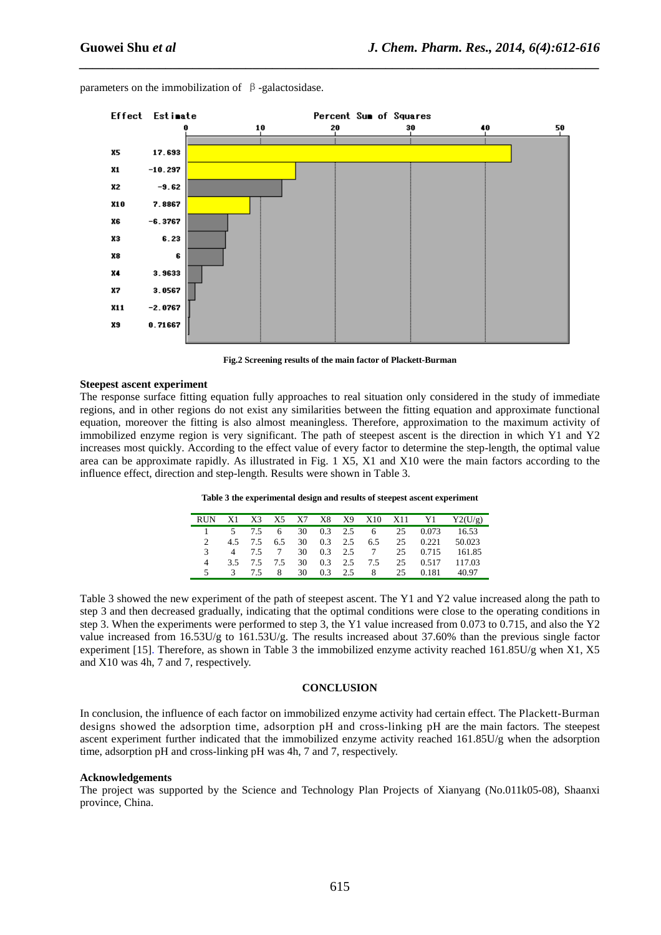

*\_\_\_\_\_\_\_\_\_\_\_\_\_\_\_\_\_\_\_\_\_\_\_\_\_\_\_\_\_\_\_\_\_\_\_\_\_\_\_\_\_\_\_\_\_\_\_\_\_\_\_\_\_\_\_\_\_\_\_\_\_\_\_\_\_\_\_\_\_\_\_\_\_\_\_\_\_\_*

parameters on the immobilization of  $\beta$ -galactosidase.

**Fig.2 Screening results of the main factor of Plackett-Burman** 

#### **Steepest ascent experiment**

The response surface fitting equation fully approaches to real situation only considered in the study of immediate regions, and in other regions do not exist any similarities between the fitting equation and approximate functional equation, moreover the fitting is also almost meaningless. Therefore, approximation to the maximum activity of immobilized enzyme region is very significant. The path of steepest ascent is the direction in which Y1 and Y2 increases most quickly. According to the effect value of every factor to determine the step-length, the optimal value area can be approximate rapidly. As illustrated in Fig. 1 X5, X1 and X10 were the main factors according to the influence effect, direction and step-length. Results were shown in Table 3.

| Table 3 the experimental design and results of steepest ascent experiment |  |
|---------------------------------------------------------------------------|--|
|---------------------------------------------------------------------------|--|

|  |                        |   |  |            |                            |      |       | RUN X1 X3 X5 X7 X8 X9 X10 X11 Y1 Y2(U/g) |
|--|------------------------|---|--|------------|----------------------------|------|-------|------------------------------------------|
|  | 5 7.5 6 30 0.3 2.5     |   |  |            |                            | 6 25 |       | 0.073 16.53                              |
|  | 4.5 7.5 6.5 30 0.3 2.5 |   |  |            | 6.5                        | 25   | 0.221 | 50.023                                   |
|  |                        |   |  |            | 4 7.5 7 30 0.3 2.5 7       | 25   |       | 0.715 161.85                             |
|  |                        |   |  |            | 3.5 7.5 7.5 30 0.3 2.5 7.5 | 25   | 0.517 | 117.03                                   |
|  | $3 \t 7.5$             | 8 |  | 30 0.3 2.5 |                            | 8 25 | 0.181 | 40.97                                    |

Table 3 showed the new experiment of the path of steepest ascent. The Y1 and Y2 value increased along the path to step 3 and then decreased gradually, indicating that the optimal conditions were close to the operating conditions in step 3. When the experiments were performed to step 3, the Y1 value increased from 0.073 to 0.715, and also the Y2 value increased from 16.53U/g to 161.53U/g. The results increased about 37.60% than the previous single factor experiment [15]. Therefore, as shown in Table 3 the immobilized enzyme activity reached 161.85U/g when X1, X5 and X10 was 4h, 7 and 7, respectively.

#### **CONCLUSION**

In conclusion, the influence of each factor on immobilized enzyme activity had certain effect. The Plackett-Burman designs showed the adsorption time, adsorption pH and cross-linking pH are the main factors. The steepest ascent experiment further indicated that the immobilized enzyme activity reached 161.85U/g when the adsorption time, adsorption pH and cross-linking pH was 4h, 7 and 7, respectively.

#### **Acknowledgements**

The project was supported by the Science and Technology Plan Projects of Xianyang (No.011k05-08), Shaanxi province, China.